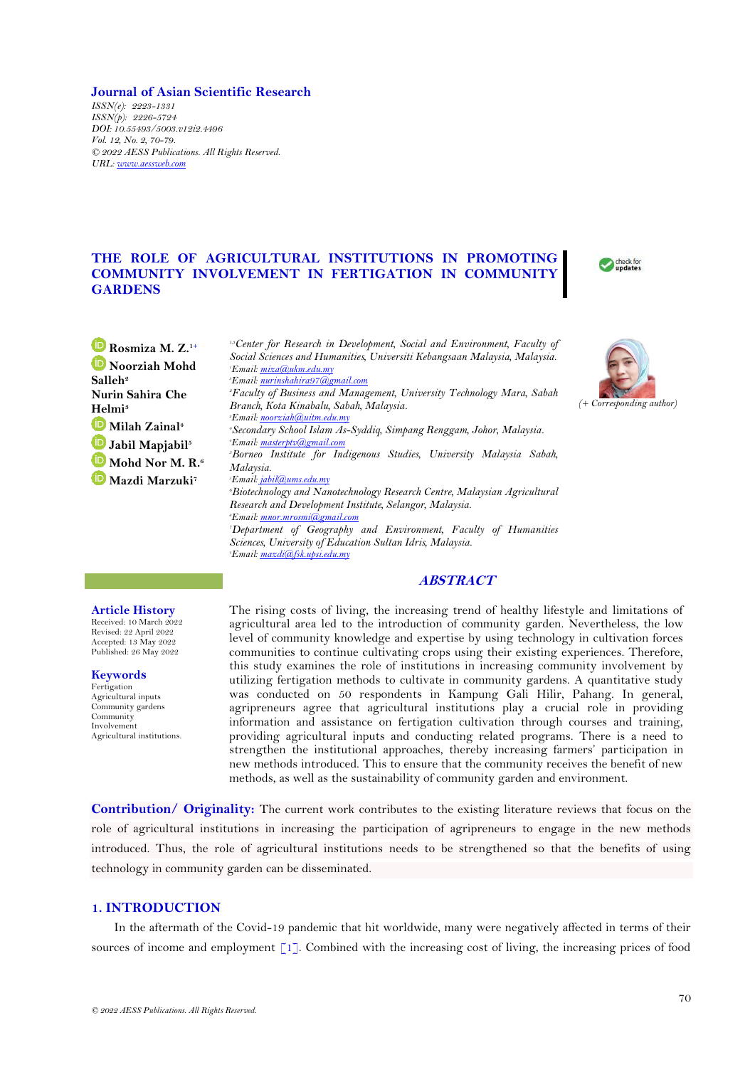### **Journal of Asian Scientific Research**

*ISSN(e): 2223-1331 ISSN(p): 2226-5724 DOI: 10.55493/5003.v12i2.4496 Vol. 12, No. 2, 70-79. © 2022 AESS Publications. All Rights Reserved. URL: [www.aessweb.com](http://www.aessweb.com/)*

# **THE ROLE OF AGRICULTURAL INSTITUTIONS IN PROMOTING COMMUNITY INVOLVEMENT IN FERTIGATION IN COMMUNITY GARDENS**



*(+ Corresponding author)*

**Rosmiza M. Z.1+ Noorziah Mohd Salleh<sup>2</sup> Nurin Sahira Che Helmi<sup>3</sup> Milah Zainal<sup>4</sup> Jabil Mapjabil<sup>5</sup> Mohd Nor M. R.<sup>6</sup> Mazdi Marzuki<sup>7</sup>**

*1,3Center for Research in Development, Social and Environment, Faculty of Social Sciences and Humanities, Universiti Kebangsaan Malaysia, Malaysia. Email[: miza@ukm.edu.my](mailto:miza@ukm.edu.my) Email[: nurinshahira97@gmail.com](mailto:nurinshahira97@gmail.com) Faculty of Business and Management, University Technology Mara, Sabah Branch, Kota Kinabalu, Sabah, Malaysia. Email[: noorziah@uitm.edu.my](mailto:noorziah@uitm.edu.my) Secondary School Islam As-Syddiq, Simpang Renggam, Johor, Malaysia. Email[: masterptv@gmail.com](mailto:masterptv@gmail.com) Borneo Institute for Indigenous Studies, University Malaysia Sabah, Malaysia. Email[: jabil@ums.edu.my](mailto:jabil@ums.edu.my) Biotechnology and Nanotechnology Research Centre, Malaysian Agricultural Research and Development Institute, Selangor, Malaysia. Email[: mnor.mrosmi@gmail.com](mailto:mnor.mrosmi@gmail.com) Department of Geography and Environment, Faculty of Humanities Sciences, University of Education Sultan Idris, Malaysia. Email[: mazdi@fsk.upsi.edu.my](mailto:mazdi@fsk.upsi.edu.my)*

## **ABSTRACT**

#### **Article History**

Received: 10 March 2022 Revised: 22 April 2022 Accepted: 13 May 2022 Published: 26 May 2022

**Keywords** Fertigation Agricultural inputs Community gardens

Community Involvement Agricultural institutions. The rising costs of living, the increasing trend of healthy lifestyle and limitations of agricultural area led to the introduction of community garden. Nevertheless, the low level of community knowledge and expertise by using technology in cultivation forces communities to continue cultivating crops using their existing experiences. Therefore, this study examines the role of institutions in increasing community involvement by utilizing fertigation methods to cultivate in community gardens. A quantitative study was conducted on 50 respondents in Kampung Gali Hilir, Pahang. In general, agripreneurs agree that agricultural institutions play a crucial role in providing information and assistance on fertigation cultivation through courses and training, providing agricultural inputs and conducting related programs. There is a need to strengthen the institutional approaches, thereby increasing farmers' participation in new methods introduced. This to ensure that the community receives the benefit of new methods, as well as the sustainability of community garden and environment.

**Contribution/ Originality:** The current work contributes to the existing literature reviews that focus on the role of agricultural institutions in increasing the participation of agripreneurs to engage in the new methods introduced. Thus, the role of agricultural institutions needs to be strengthened so that the benefits of using technology in community garden can be disseminated.

## **1. INTRODUCTION**

In the aftermath of the Covid-19 pandemic that hit worldwide, many were negatively affected in terms of their sources of income and employment [\[1\]](#page-6-0). Combined with the increasing cost of living, the increasing prices of food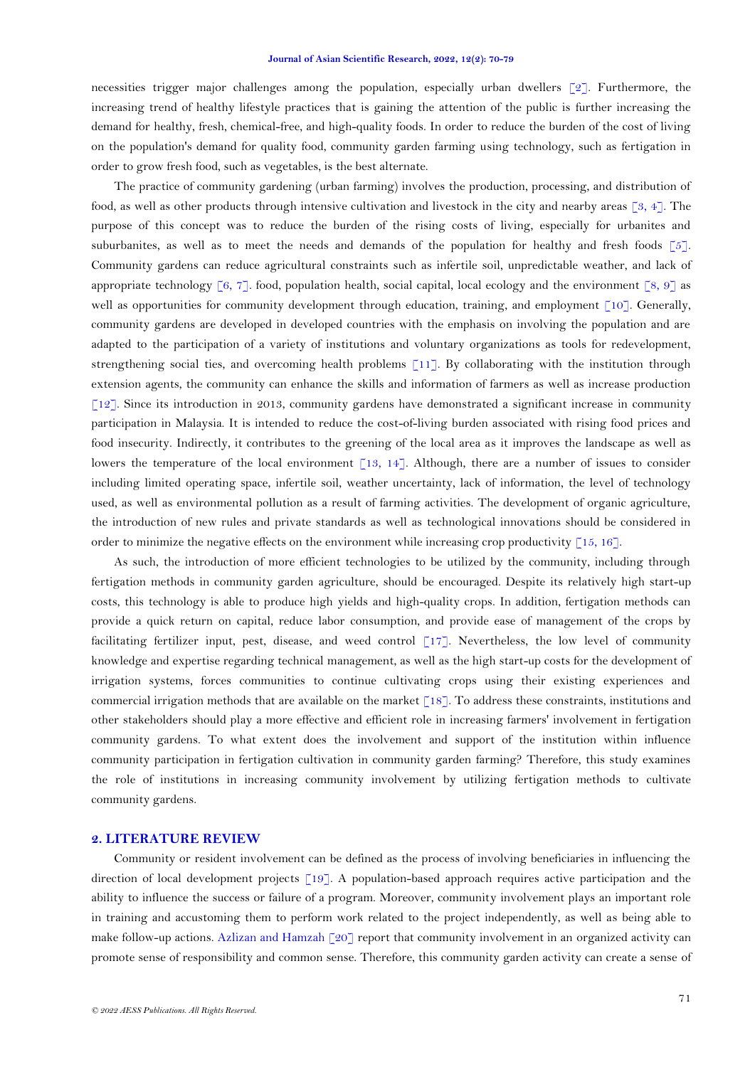necessities trigger major challenges among the population, especially urban dwellers [\[2\]](#page-6-1). Furthermore, the increasing trend of healthy lifestyle practices that is gaining the attention of the public is further increasing the demand for healthy, fresh, chemical-free, and high-quality foods. In order to reduce the burden of the cost of living on the population's demand for quality food, community garden farming using technology, such as fertigation in order to grow fresh food, such as vegetables, is the best alternate.

The practice of community gardening (urban farming) involves the production, processing, and distribution of food, as well as other products through intensive cultivation and livestock in the city and nearby areas  $\lceil 3, 4 \rceil$ . The purpose of this concept was to reduce the burden of the rising costs of living, especially for urbanites and suburbanites, as well as to meet the needs and demands of the population for healthy and fresh foods [\[5\]](#page-7-2). Community gardens can reduce agricultural constraints such as infertile soil, unpredictable weather, and lack of appropriate technology [\[6,](#page-7-3) [7\]](#page-7-4). food, population health, social capital, local ecology and the environment [\[8,](#page-7-5) [9\]](#page-7-6) as well as opportunities for community development through education, training, and employment [\[10\]](#page-7-7). Generally, community gardens are developed in developed countries with the emphasis on involving the population and are adapted to the participation of a variety of institutions and voluntary organizations as tools for redevelopment, strengthening social ties, and overcoming health problems [\[11\]](#page-7-8). By collaborating with the institution through extension agents, the community can enhance the skills and information of farmers as well as increase production [\[12\]](#page-7-9). Since its introduction in 2013, community gardens have demonstrated a significant increase in community participation in Malaysia. It is intended to reduce the cost-of-living burden associated with rising food prices and food insecurity. Indirectly, it contributes to the greening of the local area as it improves the landscape as well as lowers the temperature of the local environment [\[13,](#page-7-10) [14\]](#page-7-11). Although, there are a number of issues to consider including limited operating space, infertile soil, weather uncertainty, lack of information, the level of technology used, as well as environmental pollution as a result of farming activities. The development of organic agriculture, the introduction of new rules and private standards as well as technological innovations should be considered in order to minimize the negative effects on the environment while increasing crop productivity  $[15, 16]$  $[15, 16]$ .

As such, the introduction of more efficient technologies to be utilized by the community, including through fertigation methods in community garden agriculture, should be encouraged. Despite its relatively high start-up costs, this technology is able to produce high yields and high-quality crops. In addition, fertigation methods can provide a quick return on capital, reduce labor consumption, and provide ease of management of the crops by facilitating fertilizer input, pest, disease, and weed control [\[17\]](#page-7-14). Nevertheless, the low level of community knowledge and expertise regarding technical management, as well as the high start-up costs for the development of irrigation systems, forces communities to continue cultivating crops using their existing experiences and commercial irrigation methods that are available on the market  $\lceil 18 \rceil$ . To address these constraints, institutions and other stakeholders should play a more effective and efficient role in increasing farmers' involvement in fertigation community gardens. To what extent does the involvement and support of the institution within influence community participation in fertigation cultivation in community garden farming? Therefore, this study examines the role of institutions in increasing community involvement by utilizing fertigation methods to cultivate community gardens.

### **2. LITERATURE REVIEW**

Community or resident involvement can be defined as the process of involving beneficiaries in influencing the direction of local development projects [\[19\]](#page-8-0). A population-based approach requires active participation and the ability to influence the success or failure of a program. Moreover, community involvement plays an important role in training and accustoming them to perform work related to the project independently, as well as being able to make follow-up actions. [Azlizan and Hamzah \[20\]](#page-8-1) report that community involvement in an organized activity can promote sense of responsibility and common sense. Therefore, this community garden activity can create a sense of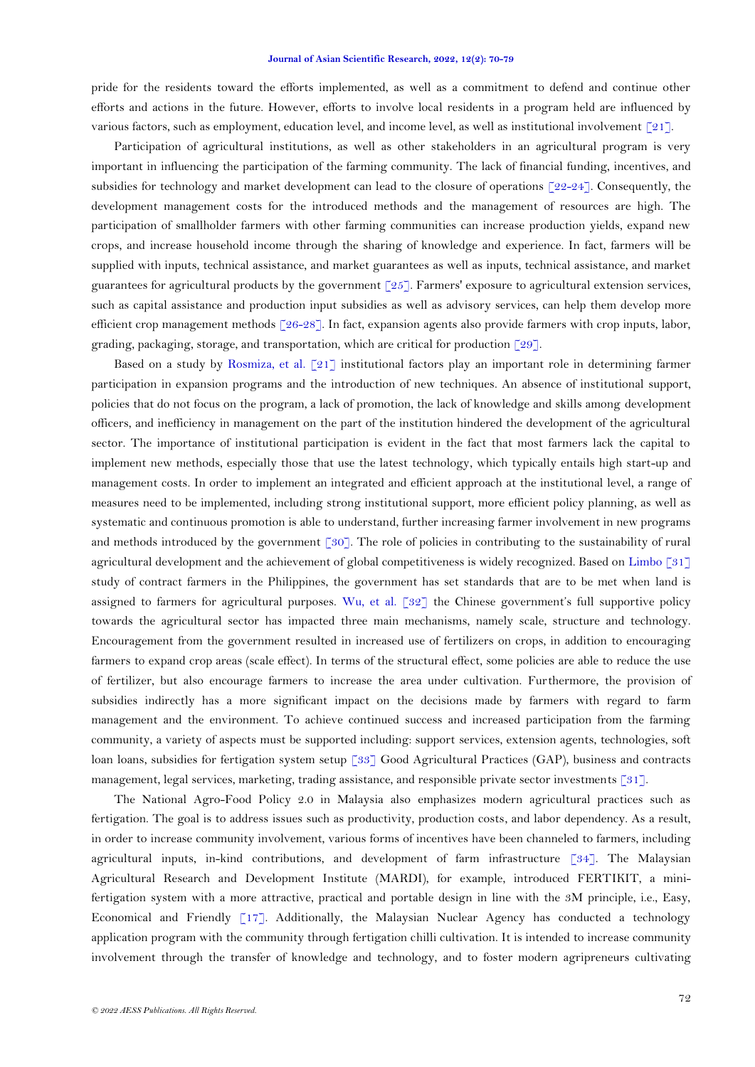pride for the residents toward the efforts implemented, as well as a commitment to defend and continue other efforts and actions in the future. However, efforts to involve local residents in a program held are influenced by various factors, such as employment, education level, and income level, as well as institutional involvement [\[21\]](#page-8-2).

Participation of agricultural institutions, as well as other stakeholders in an agricultural program is very important in influencing the participation of the farming community. The lack of financial funding, incentives, and subsidies for technology and market development can lead to the closure of operations [\[22-24\]](#page-8-3). Consequently, the development management costs for the introduced methods and the management of resources are high. The participation of smallholder farmers with other farming communities can increase production yields, expand new crops, and increase household income through the sharing of knowledge and experience. In fact, farmers will be supplied with inputs, technical assistance, and market guarantees as well as inputs, technical assistance, and market guarantees for agricultural products by the government  $\lceil 25 \rceil$ . Farmers' exposure to agricultural extension services, such as capital assistance and production input subsidies as well as advisory services, can help them develop more efficient crop management methods [\[26-28\]](#page-8-5). In fact, expansion agents also provide farmers with crop inputs, labor, grading, packaging, storage, and transportation, which are critical for production  $\lceil 29 \rceil$ .

Based on a study by [Rosmiza, et al. \[21\]](#page-8-2) institutional factors play an important role in determining farmer participation in expansion programs and the introduction of new techniques. An absence of institutional support, policies that do not focus on the program, a lack of promotion, the lack of knowledge and skills among development officers, and inefficiency in management on the part of the institution hindered the development of the agricultural sector. The importance of institutional participation is evident in the fact that most farmers lack the capital to implement new methods, especially those that use the latest technology, which typically entails high start-up and management costs. In order to implement an integrated and efficient approach at the institutional level, a range of measures need to be implemented, including strong institutional support, more efficient policy planning, as well as systematic and continuous promotion is able to understand, further increasing farmer involvement in new programs and methods introduced by the government [\[30\]](#page-8-7). The role of policies in contributing to the sustainability of rural agricultural development and the achievement of global competitiveness is widely recognized. Based on [Limbo \[31\]](#page-8-8) study of contract farmers in the Philippines, the government has set standards that are to be met when land is assigned to farmers for agricultural purposes. [Wu, et al. \[32\]](#page-8-9) the Chinese government's full supportive policy towards the agricultural sector has impacted three main mechanisms, namely scale, structure and technology. Encouragement from the government resulted in increased use of fertilizers on crops, in addition to encouraging farmers to expand crop areas (scale effect). In terms of the structural effect, some policies are able to reduce the use of fertilizer, but also encourage farmers to increase the area under cultivation. Furthermore, the provision of subsidies indirectly has a more significant impact on the decisions made by farmers with regard to farm management and the environment. To achieve continued success and increased participation from the farming community, a variety of aspects must be supported including: support services, extension agents, technologies, soft loan loans, subsidies for fertigation system setup [\[33\]](#page-8-10) Good Agricultural Practices (GAP), business and contracts management, legal services, marketing, trading assistance, and responsible private sector investments [\[31\]](#page-8-8).

The National Agro-Food Policy 2.0 in Malaysia also emphasizes modern agricultural practices such as fertigation. The goal is to address issues such as productivity, production costs, and labor dependency. As a result, in order to increase community involvement, various forms of incentives have been channeled to farmers, including agricultural inputs, in-kind contributions, and development of farm infrastructure [\[34\]](#page-8-11). The Malaysian Agricultural Research and Development Institute (MARDI), for example, introduced FERTIKIT, a minifertigation system with a more attractive, practical and portable design in line with the 3M principle, i.e., Easy, Economical and Friendly [\[17\]](#page-7-14). Additionally, the Malaysian Nuclear Agency has conducted a technology application program with the community through fertigation chilli cultivation. It is intended to increase community involvement through the transfer of knowledge and technology, and to foster modern agripreneurs cultivating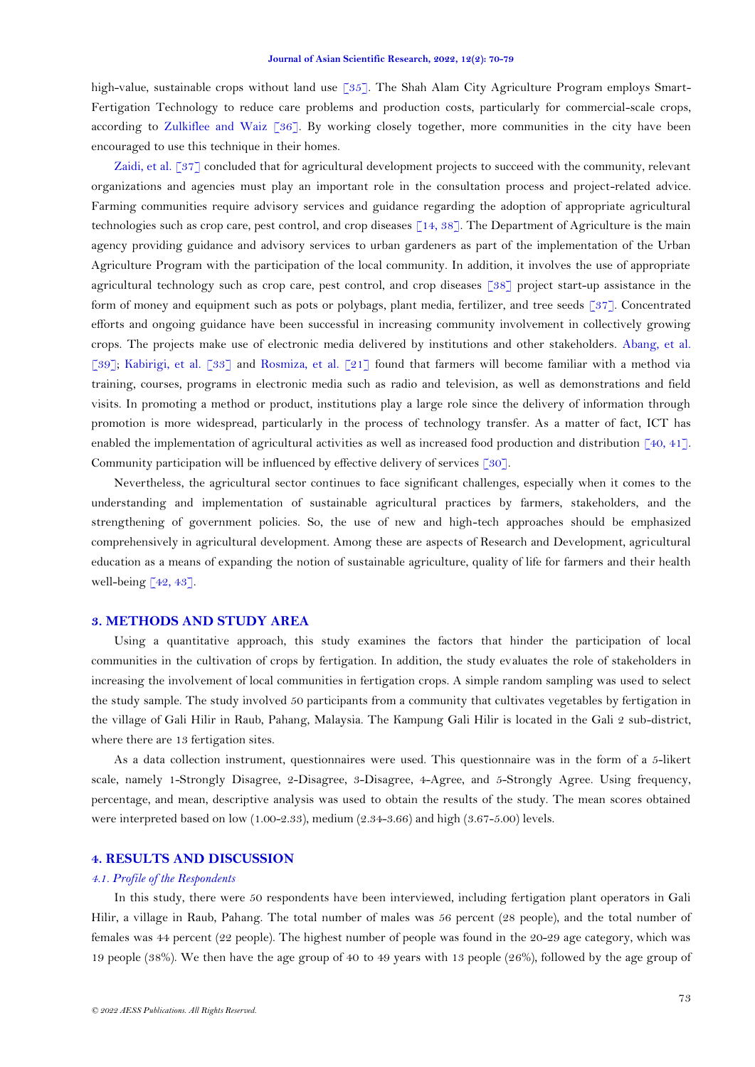high-value, sustainable crops without land use [\[35\]](#page-8-12). The Shah Alam City Agriculture Program employs Smart-Fertigation Technology to reduce care problems and production costs, particularly for commercial-scale crops, according to [Zulkiflee and Waiz \[36\]](#page-9-0). By working closely together, more communities in the city have been encouraged to use this technique in their homes.

Zaidi, [et al. \[37\]](#page-9-1) concluded that for agricultural development projects to succeed with the community, relevant organizations and agencies must play an important role in the consultation process and project-related advice. Farming communities require advisory services and guidance regarding the adoption of appropriate agricultural technologies such as crop care, pest control, and crop diseases [\[14,](#page-7-11) [38\]](#page-9-2). The Department of Agriculture is the main agency providing guidance and advisory services to urban gardeners as part of the implementation of the Urban Agriculture Program with the participation of the local community. In addition, it involves the use of appropriate agricultural technology such as crop care, pest control, and crop diseases [\[38\]](#page-9-2) project start-up assistance in the form of money and equipment such as pots or polybags, plant media, fertilizer, and tree seeds [\[37\]](#page-9-1). Concentrated efforts and ongoing guidance have been successful in increasing community involvement in collectively growing crops. The projects make use of electronic media delivered by institutions and other stakeholders. [Abang, et al.](#page-9-3)  [\[39\]](#page-9-3); [Kabirigi, et al. \[33\]](#page-8-10) and [Rosmiza, et al. \[21\]](#page-8-2) found that farmers will become familiar with a method via training, courses, programs in electronic media such as radio and television, as well as demonstrations and field visits. In promoting a method or product, institutions play a large role since the delivery of information through promotion is more widespread, particularly in the process of technology transfer. As a matter of fact, ICT has enabled the implementation of agricultural activities as well as increased food production and distribution [\[40,](#page-9-4) [41\]](#page-9-5). Community participation will be influenced by effective delivery of services [\[30\]](#page-8-7).

Nevertheless, the agricultural sector continues to face significant challenges, especially when it comes to the understanding and implementation of sustainable agricultural practices by farmers, stakeholders, and the strengthening of government policies. So, the use of new and high-tech approaches should be emphasized comprehensively in agricultural development. Among these are aspects of Research and Development, agricultural education as a means of expanding the notion of sustainable agriculture, quality of life for farmers and their health well-being  $\lceil 42, 43 \rceil$ .

## **3. METHODS AND STUDY AREA**

Using a quantitative approach, this study examines the factors that hinder the participation of local communities in the cultivation of crops by fertigation. In addition, the study evaluates the role of stakeholders in increasing the involvement of local communities in fertigation crops. A simple random sampling was used to select the study sample. The study involved 50 participants from a community that cultivates vegetables by fertigation in the village of Gali Hilir in Raub, Pahang, Malaysia. The Kampung Gali Hilir is located in the Gali 2 sub-district, where there are 13 fertigation sites.

As a data collection instrument, questionnaires were used. This questionnaire was in the form of a 5-likert scale, namely 1-Strongly Disagree, 2-Disagree, 3-Disagree, 4-Agree, and 5-Strongly Agree. Using frequency, percentage, and mean, descriptive analysis was used to obtain the results of the study. The mean scores obtained were interpreted based on low (1.00-2.33), medium (2.34-3.66) and high (3.67-5.00) levels.

### **4. RESULTS AND DISCUSSION**

#### *4.1. Profile of the Respondents*

In this study, there were 50 respondents have been interviewed, including fertigation plant operators in Gali Hilir, a village in Raub, Pahang. The total number of males was 56 percent (28 people), and the total number of females was 44 percent (22 people). The highest number of people was found in the 20-29 age category, which was 19 people (38%). We then have the age group of 40 to 49 years with 13 people (26%), followed by the age group of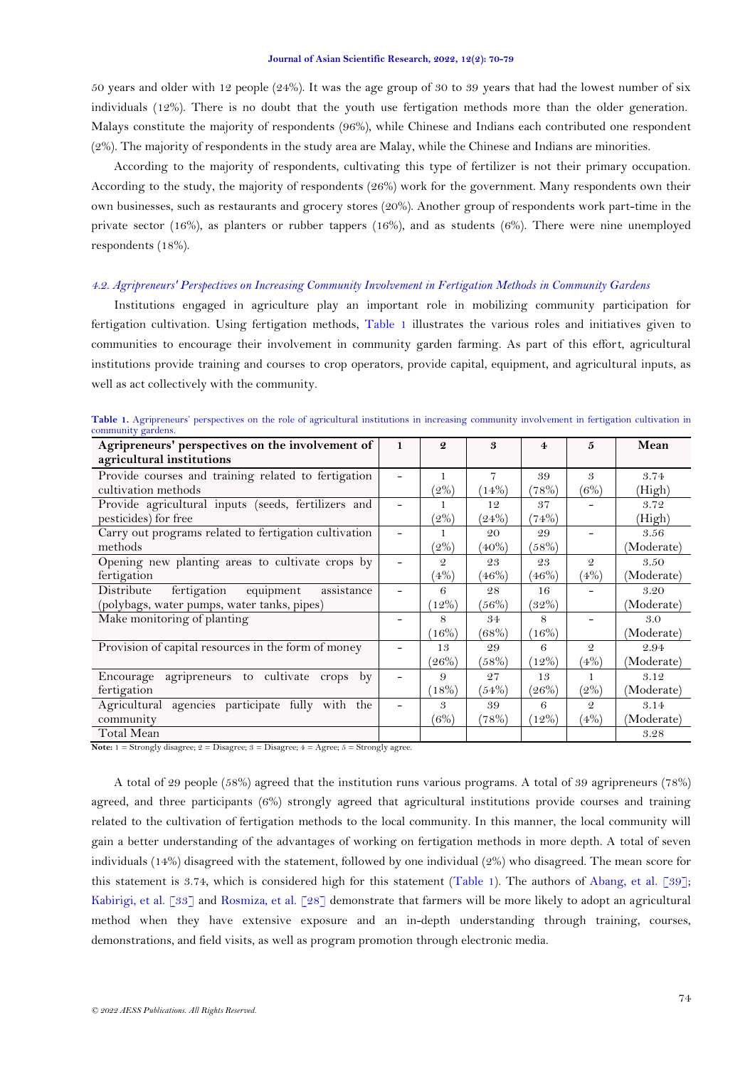50 years and older with 12 people (24%). It was the age group of 30 to 39 years that had the lowest number of six individuals (12%). There is no doubt that the youth use fertigation methods more than the older generation. Malays constitute the majority of respondents (96%), while Chinese and Indians each contributed one respondent (2%). The majority of respondents in the study area are Malay, while the Chinese and Indians are minorities.

According to the majority of respondents, cultivating this type of fertilizer is not their primary occupation. According to the study, the majority of respondents (26%) work for the government. Many respondents own their own businesses, such as restaurants and grocery stores (20%). Another group of respondents work part-time in the private sector (16%), as planters or rubber tappers (16%), and as students (6%). There were nine unemployed respondents (18%).

## *4.2. Agripreneurs' Perspectives on Increasing Community Involvement in Fertigation Methods in Community Gardens*

Institutions engaged in agriculture play an important role in mobilizing community participation for fertigation cultivation. Using fertigation methods, [Table 1](#page-4-0) illustrates the various roles and initiatives given to communities to encourage their involvement in community garden farming. As part of this effort, agricultural institutions provide training and courses to crop operators, provide capital, equipment, and agricultural inputs, as well as act collectively with the community.

| Agripreneurs' perspectives on the involvement of      | $\mathbf{1}$             | $\boldsymbol{Q}$ | 3        | $\overline{4}$ | 5             | Mean       |
|-------------------------------------------------------|--------------------------|------------------|----------|----------------|---------------|------------|
| agricultural institutions                             |                          |                  |          |                |               |            |
| Provide courses and training related to fertigation   |                          |                  | 7        | 39             | 3             | 3.74       |
| cultivation methods                                   |                          | $(2\%)$          | (14%)    | $(78\%)$       | (6%)          | (High)     |
| Provide agricultural inputs (seeds, fertilizers and   |                          |                  | 12       | 37             |               | 3.72       |
| pesticides) for free                                  |                          | $^{\prime}2\%)$  | (24%)    | (74%)          |               | (High)     |
| Carry out programs related to fertigation cultivation |                          |                  | 20       | 29             |               | 3.56       |
| methods                                               |                          | $^{\prime}2\%)$  | $(40\%)$ | $(58\%)$       |               | (Moderate) |
| Opening new planting areas to cultivate crops by      |                          | $\mathfrak{D}$   | 23       | 23             | $\mathcal{Q}$ | 3.50       |
| fertigation                                           |                          | (4%)             | (46%)    | $(46\%)$       | (4%           | (Moderate) |
| fertigation<br>assistance<br>Distribute<br>equipment  |                          | 6                | 28       | 16             |               | 3.20       |
| (polybags, water pumps, water tanks, pipes)           |                          | $12\%)$          | $(56\%)$ | $(32\%)$       |               | (Moderate) |
| Make monitoring of planting                           |                          | 8                | 34       | 8              |               | 3.0        |
|                                                       |                          | $16\%$           | (68%)    | (16%)          |               | (Moderate) |
| Provision of capital resources in the form of money   |                          | 13               | 29       | 6              | $\mathcal{Q}$ | 2.94       |
|                                                       |                          | (26%)            | (58%)    | $(12\%)$       | (4%)          | (Moderate) |
| Encourage agripreneurs to cultivate crops by          |                          | 9                | 27       | 13             |               | 3.12       |
| fertigation                                           |                          | (18%)            | (54%)    | $(26\%)$       | $(2\%)$       | (Moderate) |
| Agricultural agencies participate fully with the      | $\overline{\phantom{a}}$ | 3                | 39       | 6              | $\mathcal{Q}$ | 3.14       |
| community                                             |                          | (6%)             | (78%)    | (12%)          | (4%)          | (Moderate) |
| Total Mean                                            |                          |                  |          |                |               | 3.28       |

<span id="page-4-0"></span>Table 1. Agripreneurs' perspectives on the role of agricultural institutions in increasing community involvement in fertigation cultivation in community gardens.

**Note:** 1 = Strongly disagree; 2 = Disagree; 3 = Disagree; 4 = Agree; 5 = Strongly agree.

A total of 29 people (58%) agreed that the institution runs various programs. A total of 39 agripreneurs (78%) agreed, and three participants (6%) strongly agreed that agricultural institutions provide courses and training related to the cultivation of fertigation methods to the local community. In this manner, the local community will gain a better understanding of the advantages of working on fertigation methods in more depth. A total of seven individuals (14%) disagreed with the statement, followed by one individual (2%) who disagreed. The mean score for this statement is 3.74, which is considered high for this statement [\(Table 1\)](#page-4-0). The authors of [Abang, et al. \[39\]](#page-9-3); [Kabirigi, et al. \[33\]](#page-8-10) and [Rosmiza, et al. \[28\]](#page-8-13) demonstrate that farmers will be more likely to adopt an agricultural method when they have extensive exposure and an in-depth understanding through training, courses, demonstrations, and field visits, as well as program promotion through electronic media.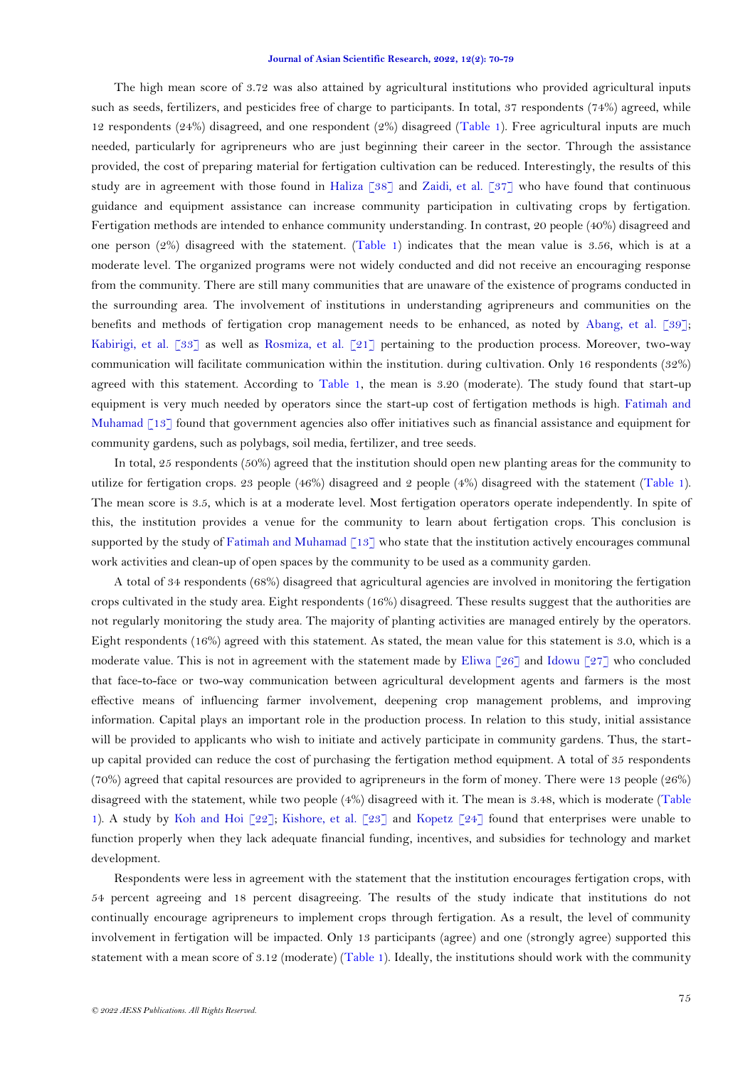The high mean score of 3.72 was also attained by agricultural institutions who provided agricultural inputs such as seeds, fertilizers, and pesticides free of charge to participants. In total, 37 respondents (74%) agreed, while 12 respondents (24%) disagreed, and one respondent (2%) disagreed [\(Table 1\)](#page-4-0). Free agricultural inputs are much needed, particularly for agripreneurs who are just beginning their career in the sector. Through the assistance provided, the cost of preparing material for fertigation cultivation can be reduced. Interestingly, the results of this study are in agreement with those found in [Haliza \[38\]](#page-9-2) and [Zaidi, et al. \[37\]](#page-9-1) who have found that continuous guidance and equipment assistance can increase community participation in cultivating crops by fertigation. Fertigation methods are intended to enhance community understanding. In contrast, 20 people (40%) disagreed and one person  $(2%)$  disagreed with the statement. [\(Table 1\)](#page-4-0) indicates that the mean value is 3.56, which is at a moderate level. The organized programs were not widely conducted and did not receive an encouraging response from the community. There are still many communities that are unaware of the existence of programs conducted in the surrounding area. The involvement of institutions in understanding agripreneurs and communities on the benefits and methods of fertigation crop management needs to be enhanced, as noted by [Abang, et al. \[39\]](#page-9-3); [Kabirigi, et al. \[33\]](#page-8-10) as well as [Rosmiza, et al. \[21\]](#page-8-2) pertaining to the production process. Moreover, two-way communication will facilitate communication within the institution. during cultivation. Only 16 respondents (32%) agreed with this statement. According to [Table 1,](#page-4-0) the mean is 3.20 (moderate). The study found that start-up equipment is very much needed by operators since the start-up cost of fertigation methods is high. [Fatimah and](#page-7-10)  [Muhamad \[13\]](#page-7-10) found that government agencies also offer initiatives such as financial assistance and equipment for community gardens, such as polybags, soil media, fertilizer, and tree seeds.

In total, 25 respondents (50%) agreed that the institution should open new planting areas for the community to utilize for fertigation crops. 23 people (46%) disagreed and 2 people (4%) disagreed with the statement [\(Table 1\)](#page-4-0). The mean score is 3.5, which is at a moderate level. Most fertigation operators operate independently. In spite of this, the institution provides a venue for the community to learn about fertigation crops. This conclusion is supported by the study o[f Fatimah and Muhamad \[13\]](#page-7-10) who state that the institution actively encourages communal work activities and clean-up of open spaces by the community to be used as a community garden.

A total of 34 respondents (68%) disagreed that agricultural agencies are involved in monitoring the fertigation crops cultivated in the study area. Eight respondents (16%) disagreed. These results suggest that the authorities are not regularly monitoring the study area. The majority of planting activities are managed entirely by the operators. Eight respondents (16%) agreed with this statement. As stated, the mean value for this statement is 3.0, which is a moderate value. This is not in agreement with the statement made by Eliwa  $\lceil 26 \rceil$  and Idowu  $\lceil 27 \rceil$  who concluded that face-to-face or two-way communication between agricultural development agents and farmers is the most effective means of influencing farmer involvement, deepening crop management problems, and improving information. Capital plays an important role in the production process. In relation to this study, initial assistance will be provided to applicants who wish to initiate and actively participate in community gardens. Thus, the startup capital provided can reduce the cost of purchasing the fertigation method equipment. A total of 35 respondents (70%) agreed that capital resources are provided to agripreneurs in the form of money. There were 13 people (26%) disagreed with the statement, while two people (4%) disagreed with it. The mean is 3.48, which is moderate [\(Table](#page-4-0)  [1\)](#page-4-0). A study by [Koh and Hoi \[22\]](#page-8-3); [Kishore, et al. \[23\]](#page-8-15) and [Kopetz \[24\]](#page-8-16) found that enterprises were unable to function properly when they lack adequate financial funding, incentives, and subsidies for technology and market development.

Respondents were less in agreement with the statement that the institution encourages fertigation crops, with 54 percent agreeing and 18 percent disagreeing. The results of the study indicate that institutions do not continually encourage agripreneurs to implement crops through fertigation. As a result, the level of community involvement in fertigation will be impacted. Only 13 participants (agree) and one (strongly agree) supported this statement with a mean score of 3.12 (moderate) [\(Table 1\)](#page-4-0). Ideally, the institutions should work with the community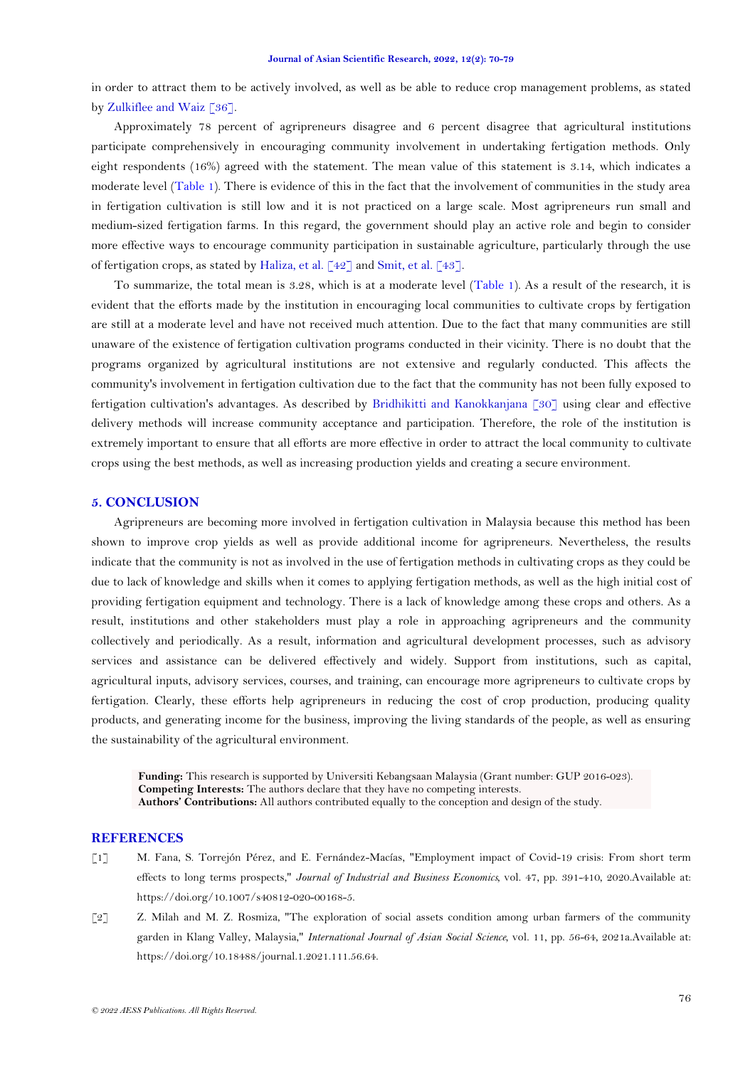in order to attract them to be actively involved, as well as be able to reduce crop management problems, as stated b[y Zulkiflee and Waiz \[36\]](#page-9-0).

Approximately 78 percent of agripreneurs disagree and 6 percent disagree that agricultural institutions participate comprehensively in encouraging community involvement in undertaking fertigation methods. Only eight respondents (16%) agreed with the statement. The mean value of this statement is 3.14, which indicates a moderate level [\(Table 1\)](#page-4-0). There is evidence of this in the fact that the involvement of communities in the study area in fertigation cultivation is still low and it is not practiced on a large scale. Most agripreneurs run small and medium-sized fertigation farms. In this regard, the government should play an active role and begin to consider more effective ways to encourage community participation in sustainable agriculture, particularly through the use of fertigation crops, as stated by [Haliza, et al. \[42\]](#page-9-6) and [Smit, et al. \[43\]](#page-9-7).

To summarize, the total mean is 3.28, which is at a moderate level [\(Table 1\)](#page-4-0). As a result of the research, it is evident that the efforts made by the institution in encouraging local communities to cultivate crops by fertigation are still at a moderate level and have not received much attention. Due to the fact that many communities are still unaware of the existence of fertigation cultivation programs conducted in their vicinity. There is no doubt that the programs organized by agricultural institutions are not extensive and regularly conducted. This affects the community's involvement in fertigation cultivation due to the fact that the community has not been fully exposed to fertigation cultivation's advantages. As described by [Bridhikitti and Kanokkanjana \[30\]](#page-8-7) using clear and effective delivery methods will increase community acceptance and participation. Therefore, the role of the institution is extremely important to ensure that all efforts are more effective in order to attract the local community to cultivate crops using the best methods, as well as increasing production yields and creating a secure environment.

### **5. CONCLUSION**

Agripreneurs are becoming more involved in fertigation cultivation in Malaysia because this method has been shown to improve crop yields as well as provide additional income for agripreneurs. Nevertheless, the results indicate that the community is not as involved in the use of fertigation methods in cultivating crops as they could be due to lack of knowledge and skills when it comes to applying fertigation methods, as well as the high initial cost of providing fertigation equipment and technology. There is a lack of knowledge among these crops and others. As a result, institutions and other stakeholders must play a role in approaching agripreneurs and the community collectively and periodically. As a result, information and agricultural development processes, such as advisory services and assistance can be delivered effectively and widely. Support from institutions, such as capital, agricultural inputs, advisory services, courses, and training, can encourage more agripreneurs to cultivate crops by fertigation. Clearly, these efforts help agripreneurs in reducing the cost of crop production, producing quality products, and generating income for the business, improving the living standards of the people, as well as ensuring the sustainability of the agricultural environment.

**Funding:** This research is supported by Universiti Kebangsaan Malaysia (Grant number: GUP 2016-023). **Competing Interests:** The authors declare that they have no competing interests. **Authors' Contributions:** All authors contributed equally to the conception and design of the study.

### **REFERENCES**

- <span id="page-6-0"></span>[1] M. Fana, S. Torrejón Pérez, and E. Fernández-Macías, "Employment impact of Covid-19 crisis: From short term effects to long terms prospects," *Journal of Industrial and Business Economics,* vol. 47, pp. 391-410, 2020.Available at: https://doi.org/10.1007/s40812-020-00168-5.
- <span id="page-6-1"></span>[2] Z. Milah and M. Z. Rosmiza, "The exploration of social assets condition among urban farmers of the community garden in Klang Valley, Malaysia," *International Journal of Asian Social Science,* vol. 11, pp. 56-64, 2021a.Available at: https://doi.org/10.18488/journal.1.2021.111.56.64.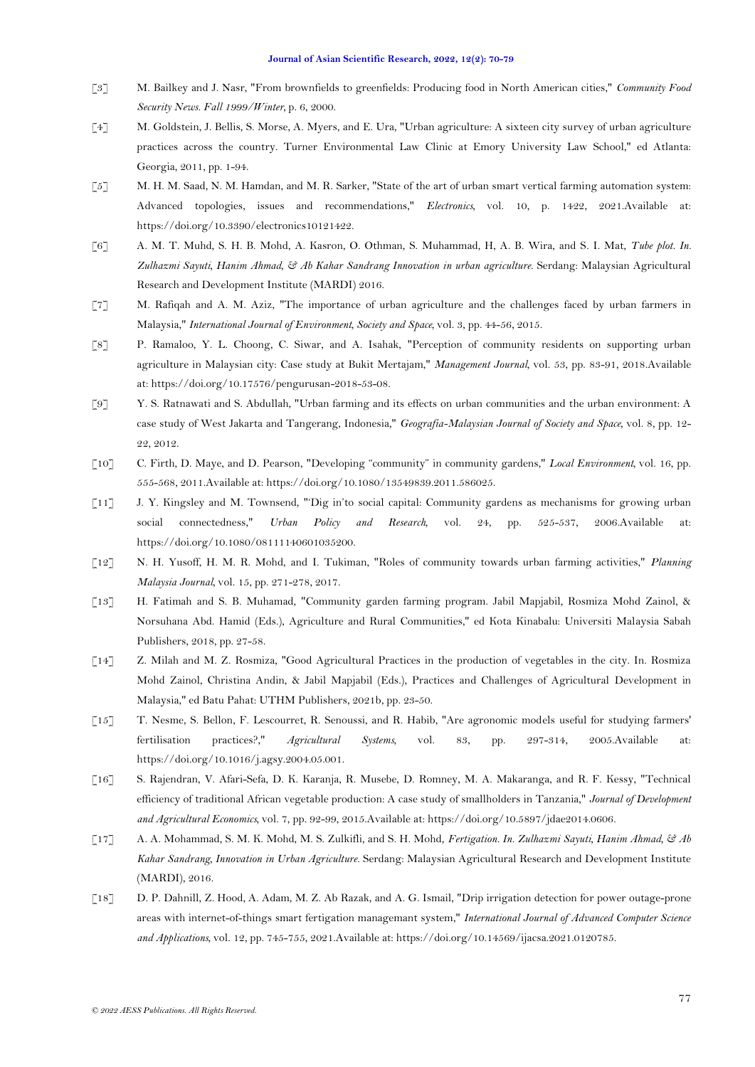- <span id="page-7-0"></span>[3] M. Bailkey and J. Nasr, "From brownfields to greenfields: Producing food in North American cities," *Community Food Security News. Fall 1999/Winter,* p. 6, 2000.
- <span id="page-7-1"></span>[4] M. Goldstein, J. Bellis, S. Morse, A. Myers, and E. Ura, "Urban agriculture: A sixteen city survey of urban agriculture practices across the country. Turner Environmental Law Clinic at Emory University Law School," ed Atlanta: Georgia, 2011, pp. 1-94.
- <span id="page-7-2"></span>[5] M. H. M. Saad, N. M. Hamdan, and M. R. Sarker, "State of the art of urban smart vertical farming automation system: Advanced topologies, issues and recommendations," *Electronics,* vol. 10, p. 1422, 2021.Available at: https://doi.org/10.3390/electronics10121422.
- <span id="page-7-3"></span>[6] A. M. T. Muhd, S. H. B. Mohd, A. Kasron, O. Othman, S. Muhammad, H, A. B. Wira, and S. I. Mat, *Tube plot. In. Zulhazmi Sayuti, Hanim Ahmad, & Ab Kahar Sandrang Innovation in urban agriculture*. Serdang: Malaysian Agricultural Research and Development Institute (MARDI) 2016.
- <span id="page-7-4"></span>[7] M. Rafiqah and A. M. Aziz, "The importance of urban agriculture and the challenges faced by urban farmers in Malaysia," *International Journal of Environment, Society and Space,* vol. 3, pp. 44-56, 2015.
- <span id="page-7-5"></span>[8] P. Ramaloo, Y. L. Choong, C. Siwar, and A. Isahak, "Perception of community residents on supporting urban agriculture in Malaysian city: Case study at Bukit Mertajam," *Management Journal,* vol. 53, pp. 83-91, 2018.Available at: https://doi.org/10.17576/pengurusan-2018-53-08.
- <span id="page-7-6"></span>[9] Y. S. Ratnawati and S. Abdullah, "Urban farming and its effects on urban communities and the urban environment: A case study of West Jakarta and Tangerang, Indonesia," *Geografia-Malaysian Journal of Society and Space,* vol. 8, pp. 12- 22, 2012.
- <span id="page-7-7"></span>[10] C. Firth, D. Maye, and D. Pearson, "Developing "community" in community gardens," *Local Environment,* vol. 16, pp. 555-568, 2011.Available at: https://doi.org/10.1080/13549839.2011.586025.
- <span id="page-7-8"></span>[11] J. Y. Kingsley and M. Townsend, "'Dig in'to social capital: Community gardens as mechanisms for growing urban social connectedness," *Urban Policy and Research,* vol. 24, pp. 525-537, 2006.Available at: https://doi.org/10.1080/08111140601035200.
- <span id="page-7-9"></span>[12] N. H. Yusoff, H. M. R. Mohd, and I. Tukiman, "Roles of community towards urban farming activities," *Planning Malaysia Journal,* vol. 15, pp. 271-278, 2017.
- <span id="page-7-10"></span>[13] H. Fatimah and S. B. Muhamad, "Community garden farming program. Jabil Mapjabil, Rosmiza Mohd Zainol, & Norsuhana Abd. Hamid (Eds.), Agriculture and Rural Communities," ed Kota Kinabalu: Universiti Malaysia Sabah Publishers, 2018, pp. 27-58.
- <span id="page-7-11"></span>[14] Z. Milah and M. Z. Rosmiza, "Good Agricultural Practices in the production of vegetables in the city. In. Rosmiza Mohd Zainol, Christina Andin, & Jabil Mapjabil (Eds.), Practices and Challenges of Agricultural Development in Malaysia," ed Batu Pahat: UTHM Publishers, 2021b, pp. 23-50.
- <span id="page-7-12"></span>[15] T. Nesme, S. Bellon, F. Lescourret, R. Senoussi, and R. Habib, "Are agronomic models useful for studying farmers' fertilisation practices?," *Agricultural Systems,* vol. 83, pp. 297-314, 2005.Available at: https://doi.org/10.1016/j.agsy.2004.05.001.
- <span id="page-7-13"></span>[16] S. Rajendran, V. Afari-Sefa, D. K. Karanja, R. Musebe, D. Romney, M. A. Makaranga, and R. F. Kessy, "Technical efficiency of traditional African vegetable production: A case study of smallholders in Tanzania," *Journal of Development and Agricultural Economics,* vol. 7, pp. 92-99, 2015.Available at: https://doi.org/10.5897/jdae2014.0606.
- <span id="page-7-14"></span>[17] A. A. Mohammad, S. M. K. Mohd, M. S. Zulkifli, and S. H. Mohd, *Fertigation. In. Zulhazmi Sayuti, Hanim Ahmad, & Ab Kahar Sandrang, Innovation in Urban Agriculture*. Serdang: Malaysian Agricultural Research and Development Institute (MARDI), 2016.
- <span id="page-7-15"></span>[18] D. P. Dahnill, Z. Hood, A. Adam, M. Z. Ab Razak, and A. G. Ismail, "Drip irrigation detection for power outage-prone areas with internet-of-things smart fertigation managemant system," *International Journal of Advanced Computer Science and Applications,* vol. 12, pp. 745-755, 2021.Available at: https://doi.org/10.14569/ijacsa.2021.0120785.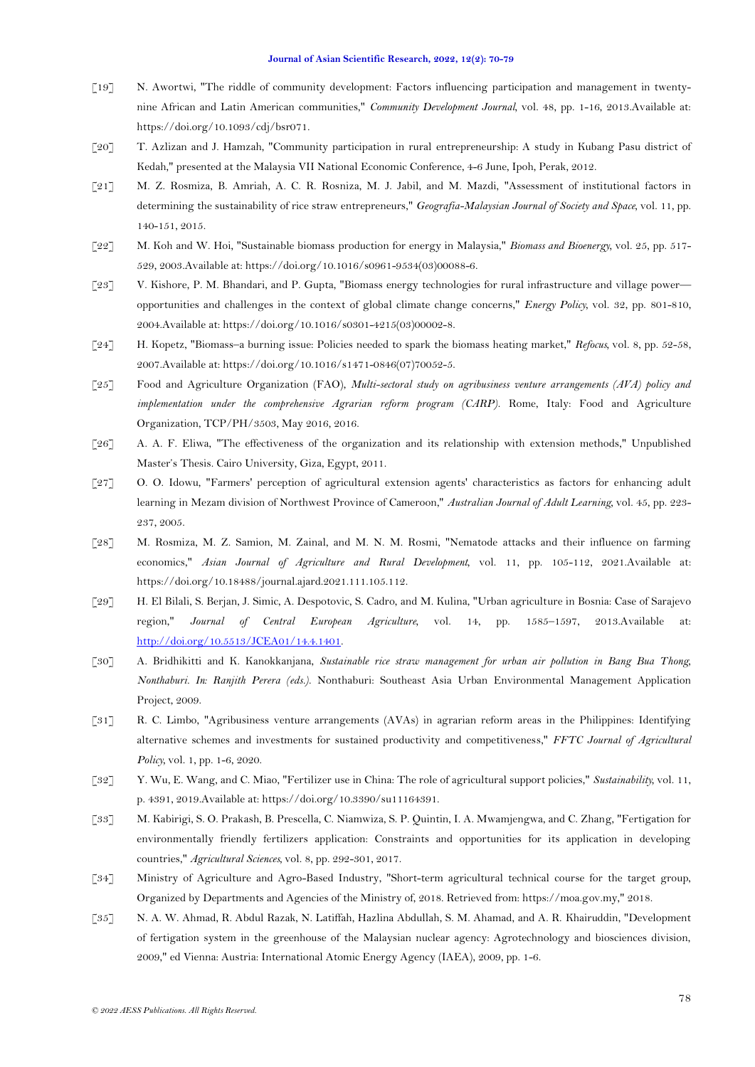- <span id="page-8-0"></span>[19] N. Awortwi, "The riddle of community development: Factors influencing participation and management in twentynine African and Latin American communities," *Community Development Journal,* vol. 48, pp. 1-16, 2013.Available at: https://doi.org/10.1093/cdj/bsr071.
- <span id="page-8-1"></span>[20] T. Azlizan and J. Hamzah, "Community participation in rural entrepreneurship: A study in Kubang Pasu district of Kedah," presented at the Malaysia VII National Economic Conference, 4-6 June, Ipoh, Perak, 2012.
- <span id="page-8-2"></span>[21] M. Z. Rosmiza, B. Amriah, A. C. R. Rosniza, M. J. Jabil, and M. Mazdi, "Assessment of institutional factors in determining the sustainability of rice straw entrepreneurs," *Geografia-Malaysian Journal of Society and Space,* vol. 11, pp. 140-151, 2015.
- <span id="page-8-3"></span>[22] M. Koh and W. Hoi, "Sustainable biomass production for energy in Malaysia," *Biomass and Bioenergy,* vol. 25, pp. 517- 529, 2003.Available at: https://doi.org/10.1016/s0961-9534(03)00088-6.
- <span id="page-8-15"></span>[23] V. Kishore, P. M. Bhandari, and P. Gupta, "Biomass energy technologies for rural infrastructure and village power opportunities and challenges in the context of global climate change concerns," *Energy Policy,* vol. 32, pp. 801-810, 2004.Available at: https://doi.org/10.1016/s0301-4215(03)00002-8.
- <span id="page-8-16"></span>[24] H. Kopetz, "Biomass–a burning issue: Policies needed to spark the biomass heating market," *Refocus,* vol. 8, pp. 52-58, 2007.Available at: https://doi.org/10.1016/s1471-0846(07)70052-5.
- <span id="page-8-4"></span>[25] Food and Agriculture Organization (FAO), *Multi-sectoral study on agribusiness venture arrangements (AVA) policy and implementation under the comprehensive Agrarian reform program (CARP)*. Rome, Italy: Food and Agriculture Organization, TCP/PH/3503, May 2016, 2016.
- <span id="page-8-5"></span>[26] A. A. F. Eliwa, "The effectiveness of the organization and its relationship with extension methods," Unpublished Master's Thesis. Cairo University, Giza, Egypt, 2011.
- <span id="page-8-14"></span>[27] O. O. Idowu, "Farmers' perception of agricultural extension agents' characteristics as factors for enhancing adult learning in Mezam division of Northwest Province of Cameroon," *Australian Journal of Adult Learning,* vol. 45, pp. 223- 237, 2005.
- <span id="page-8-13"></span>[28] M. Rosmiza, M. Z. Samion, M. Zainal, and M. N. M. Rosmi, "Nematode attacks and their influence on farming economics," *Asian Journal of Agriculture and Rural Development,* vol. 11, pp. 105-112, 2021.Available at: https://doi.org/10.18488/journal.ajard.2021.111.105.112.
- <span id="page-8-6"></span>[29] H. El Bilali, S. Berjan, J. Simic, A. Despotovic, S. Cadro, and M. Kulina, "Urban agriculture in Bosnia: Case of Sarajevo region," *Journal of Central European Agriculture,* vol. 14, pp. 1585–1597, 2013.Available at: [http://doi.org/10.5513/JCEA01/14.4.1401.](http://doi.org/10.5513/JCEA01/14.4.1401)
- <span id="page-8-7"></span>[30] A. Bridhikitti and K. Kanokkanjana, *Sustainable rice straw management for urban air pollution in Bang Bua Thong, Nonthaburi. In: Ranjith Perera (eds.)*. Nonthaburi: Southeast Asia Urban Environmental Management Application Project, 2009.
- <span id="page-8-8"></span>[31] R. C. Limbo, "Agribusiness venture arrangements (AVAs) in agrarian reform areas in the Philippines: Identifying alternative schemes and investments for sustained productivity and competitiveness," *FFTC Journal of Agricultural Policy,* vol. 1, pp. 1-6, 2020.
- <span id="page-8-9"></span>[32] Y. Wu, E. Wang, and C. Miao, "Fertilizer use in China: The role of agricultural support policies," *Sustainability,* vol. 11, p. 4391, 2019.Available at: https://doi.org/10.3390/su11164391.
- <span id="page-8-10"></span>[33] M. Kabirigi, S. O. Prakash, B. Prescella, C. Niamwiza, S. P. Quintin, I. A. Mwamjengwa, and C. Zhang, "Fertigation for environmentally friendly fertilizers application: Constraints and opportunities for its application in developing countries," *Agricultural Sciences,* vol. 8, pp. 292-301, 2017.
- <span id="page-8-11"></span>[34] Ministry of Agriculture and Agro-Based Industry, "Short-term agricultural technical course for the target group, Organized by Departments and Agencies of the Ministry of, 2018. Retrieved from: https://moa.gov.my," 2018.
- <span id="page-8-12"></span>[35] N. A. W. Ahmad, R. Abdul Razak, N. Latiffah, Hazlina Abdullah, S. M. Ahamad, and A. R. Khairuddin, "Development of fertigation system in the greenhouse of the Malaysian nuclear agency: Agrotechnology and biosciences division, 2009," ed Vienna: Austria: International Atomic Energy Agency (IAEA), 2009, pp. 1-6.